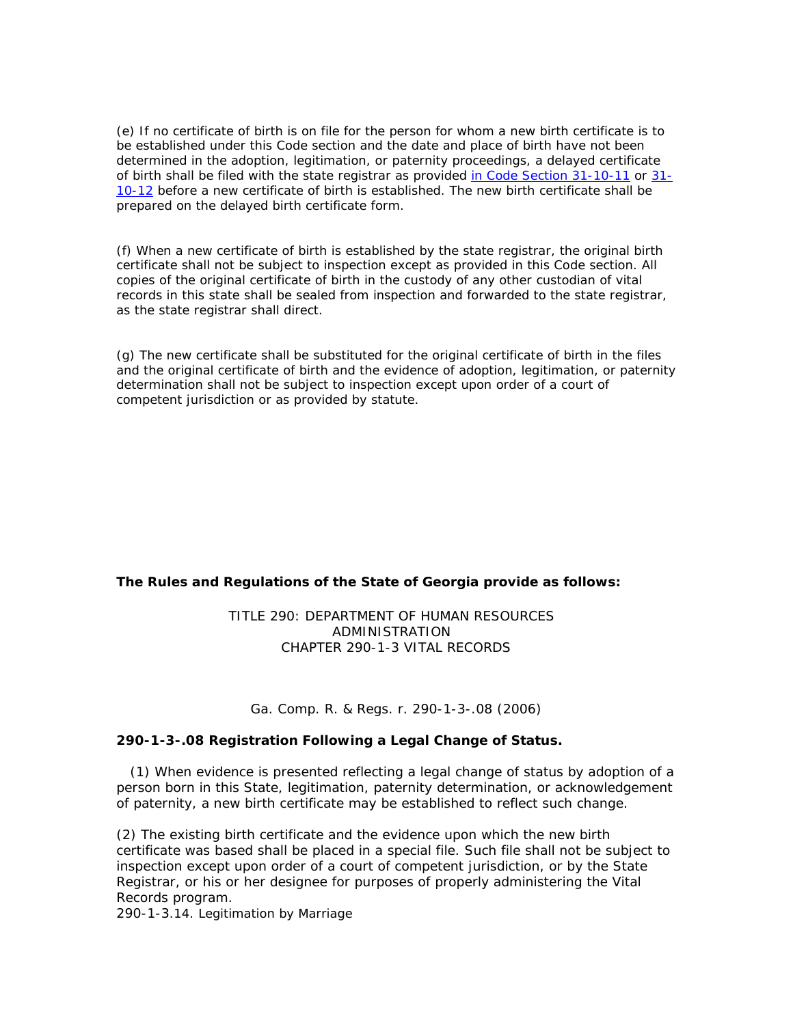(e) If no certificate of birth is on file for the person for whom a new birth certificate is to be established under this Code section and the date and place of birth have not been determined in the adoption, legitimation, or paternity proceedings, a delayed certificate of birth shall be filed with the state registrar as provided [in Code Section 31-10-11](http://web2.westlaw.com/find/default.wl?vc=0&rp=%2ffind%2fdefault.wl&DB=1000468&DocName=GAST31%2D10%2D11&FindType=L&AP=&fn=_top&rs=WLW7.01&mt=Westlaw&vr=2.0&spa=003260477-4000&sv=Split) or [31-](http://web2.westlaw.com/find/default.wl?vc=0&rp=%2ffind%2fdefault.wl&DB=1000468&DocName=GAST31%2D10%2D12&FindType=L&AP=&fn=_top&rs=WLW7.01&mt=Westlaw&vr=2.0&spa=003260477-4000&sv=Split) [10-12](http://web2.westlaw.com/find/default.wl?vc=0&rp=%2ffind%2fdefault.wl&DB=1000468&DocName=GAST31%2D10%2D12&FindType=L&AP=&fn=_top&rs=WLW7.01&mt=Westlaw&vr=2.0&spa=003260477-4000&sv=Split) before a new certificate of birth is established. The new birth certificate shall be prepared on the delayed birth certificate form.

(f) When a new certificate of birth is established by the state registrar, the original birth certificate shall not be subject to inspection except as provided in this Code section. All copies of the original certificate of birth in the custody of any other custodian of vital records in this state shall be sealed from inspection and forwarded to the state registrar, as the state registrar shall direct.

(g) The new certificate shall be substituted for the original certificate of birth in the files and the original certificate of birth and the evidence of adoption, legitimation, or paternity determination shall not be subject to inspection except upon order of a court of competent jurisdiction or as provided by statute.

# **The Rules and Regulations of the State of Georgia provide as follows:**

## TITLE 290: DEPARTMENT OF HUMAN RESOURCES ADMINISTRATION CHAPTER 290-1-3 VITAL RECORDS

Ga. Comp. R. & Regs. r. 290-1-3-.08 (2006)

# **290-1-3-.08 Registration Following a Legal Change of Status.**

 (1) When evidence is presented reflecting a legal change of status by adoption of a person born in this State, legitimation, paternity determination, or acknowledgement of paternity, a new birth certificate may be established to reflect such change.

(2) The existing birth certificate and the evidence upon which the new birth certificate was based shall be placed in a special file. Such file shall not be subject to inspection except upon order of a court of competent jurisdiction, or by the State Registrar, or his or her designee for purposes of properly administering the Vital Records program.

290-1-3.14. Legitimation by Marriage